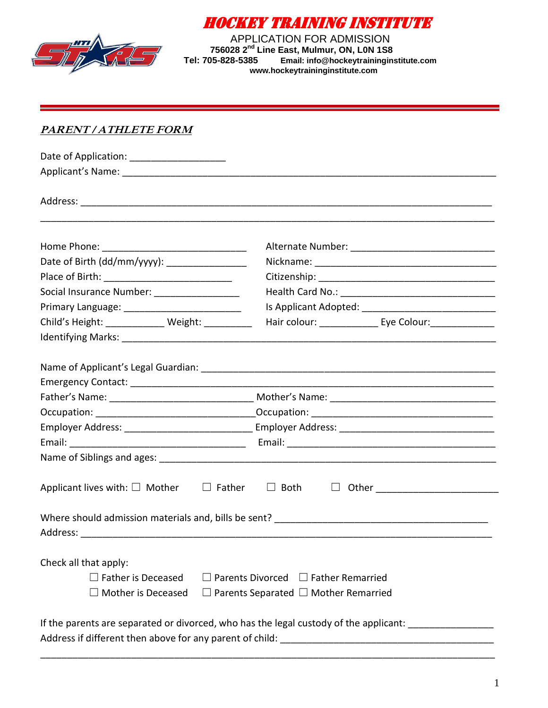

HOCKEY TRAINING INSTITUTE

APPLICATION FOR ADMISSION  **756028 2nd Line East, Mulmur, ON, L0N 1S8 Tel: 705-828-5385 Email: info@hockeytraininginstitute.com www.hockeytraininginstitute.com**

## **PARENT / ATHLETE FORM**

| Date of Application: ____________________                |                                                                                                               |
|----------------------------------------------------------|---------------------------------------------------------------------------------------------------------------|
|                                                          |                                                                                                               |
|                                                          |                                                                                                               |
|                                                          |                                                                                                               |
| Date of Birth (dd/mm/yyyy): ____________________         |                                                                                                               |
|                                                          |                                                                                                               |
| Social Insurance Number: __________________              |                                                                                                               |
|                                                          |                                                                                                               |
| Child's Height: _____________ Weight: _________          | Hair colour: _______________ Eye Colour: _______________                                                      |
|                                                          |                                                                                                               |
|                                                          |                                                                                                               |
|                                                          |                                                                                                               |
|                                                          |                                                                                                               |
|                                                          |                                                                                                               |
|                                                          |                                                                                                               |
|                                                          |                                                                                                               |
|                                                          |                                                                                                               |
| Applicant lives with: $\square$ Mother                   | $\Box$ Father<br>$\Box$ Both                                                                                  |
|                                                          |                                                                                                               |
| Check all that apply:                                    |                                                                                                               |
| $\Box$ Father is Deceased                                | $\Box$ Parents Divorced $\Box$ Father Remarried                                                               |
| $\Box$ Mother is Deceased                                | $\Box$ Parents Separated $\Box$ Mother Remarried                                                              |
|                                                          |                                                                                                               |
|                                                          | If the parents are separated or divorced, who has the legal custody of the applicant: _______________________ |
| Address if different then above for any parent of child: |                                                                                                               |

\_\_\_\_\_\_\_\_\_\_\_\_\_\_\_\_\_\_\_\_\_\_\_\_\_\_\_\_\_\_\_\_\_\_\_\_\_\_\_\_\_\_\_\_\_\_\_\_\_\_\_\_\_\_\_\_\_\_\_\_\_\_\_\_\_\_\_\_\_\_\_\_\_\_\_\_\_\_\_\_\_\_\_\_\_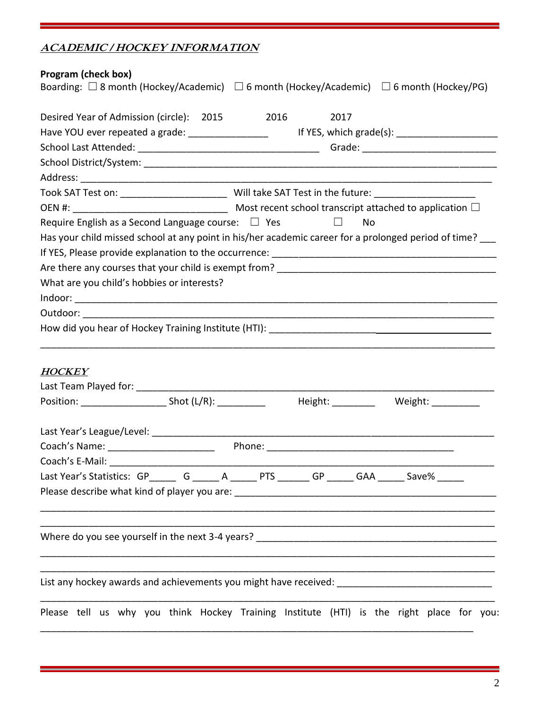# **ACADEMIC / HOCKEY INFORMATION**

## **Program (check box)**

| <b>PIUSIAIII (CHECK DUX)</b>                                      |                                                                                                        |  |  |  |  |
|-------------------------------------------------------------------|--------------------------------------------------------------------------------------------------------|--|--|--|--|
|                                                                   | Boarding: $\Box$ 8 month (Hockey/Academic) $\Box$ 6 month (Hockey/Academic) $\Box$ 6 month (Hockey/PG) |  |  |  |  |
|                                                                   |                                                                                                        |  |  |  |  |
| Desired Year of Admission (circle): 2015                          | 2016 — 201<br>2017                                                                                     |  |  |  |  |
| Have YOU ever repeated a grade: __________________                |                                                                                                        |  |  |  |  |
|                                                                   |                                                                                                        |  |  |  |  |
|                                                                   |                                                                                                        |  |  |  |  |
|                                                                   |                                                                                                        |  |  |  |  |
|                                                                   |                                                                                                        |  |  |  |  |
|                                                                   |                                                                                                        |  |  |  |  |
| Require English as a Second Language course: $\Box$ Yes $\Box$ No |                                                                                                        |  |  |  |  |
|                                                                   | Has your child missed school at any point in his/her academic career for a prolonged period of time?   |  |  |  |  |
|                                                                   |                                                                                                        |  |  |  |  |
|                                                                   |                                                                                                        |  |  |  |  |
| What are you child's hobbies or interests?                        |                                                                                                        |  |  |  |  |
|                                                                   |                                                                                                        |  |  |  |  |
|                                                                   |                                                                                                        |  |  |  |  |

\_\_\_\_\_\_\_\_\_\_\_\_\_\_\_\_\_\_\_\_\_\_\_\_\_\_\_\_\_\_\_\_\_\_\_\_\_\_\_\_\_\_\_\_\_\_\_\_\_\_\_\_\_\_\_\_\_\_\_\_\_\_\_\_\_\_\_\_\_\_\_\_\_\_\_\_\_\_\_\_\_\_\_\_\_

Outdoor: \_\_\_\_\_\_\_\_\_\_\_\_\_\_\_\_\_\_\_\_\_\_\_\_\_\_\_\_\_\_\_\_\_\_\_\_\_\_\_\_\_\_\_\_\_\_\_\_\_\_\_\_\_\_\_\_\_\_\_\_\_\_\_\_\_\_\_\_\_\_\_\_\_\_\_\_\_

| How did you hear of Hockey Training Institute (HTI): |  |
|------------------------------------------------------|--|
|------------------------------------------------------|--|

## **HOCKEY**

|                                                                                                     |  | Height: _________ Weight: _________ |  |  |
|-----------------------------------------------------------------------------------------------------|--|-------------------------------------|--|--|
|                                                                                                     |  |                                     |  |  |
|                                                                                                     |  |                                     |  |  |
|                                                                                                     |  |                                     |  |  |
| Last Year's Statistics: GP______ G ______ A ______ PTS _______ GP ______ GAA ______ Save% ______    |  |                                     |  |  |
|                                                                                                     |  |                                     |  |  |
|                                                                                                     |  |                                     |  |  |
|                                                                                                     |  |                                     |  |  |
| List any hockey awards and achievements you might have received: __________________________________ |  |                                     |  |  |
| Please tell us why you think Hockey Training Institute (HTI) is the right place for you:            |  |                                     |  |  |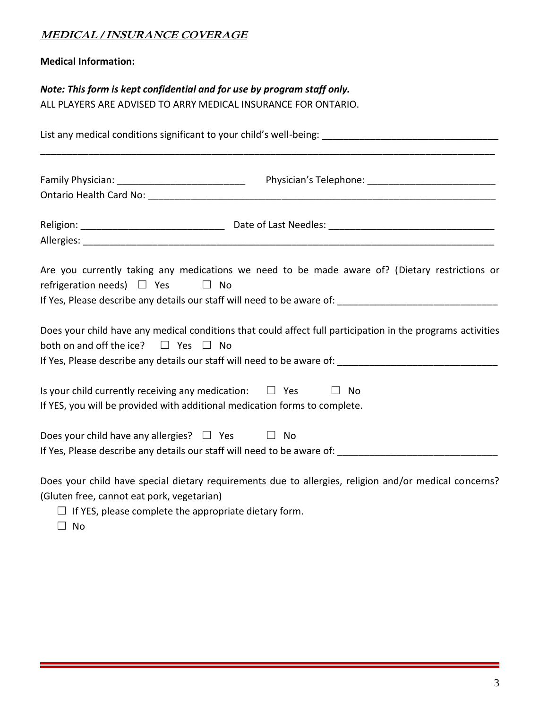### **MEDICAL / INSURANCE COVERAGE**

#### **Medical Information:**

| Note: This form is kept confidential and for use by program staff only.<br>ALL PLAYERS ARE ADVISED TO ARRY MEDICAL INSURANCE FOR ONTARIO.                    |  |  |  |  |
|--------------------------------------------------------------------------------------------------------------------------------------------------------------|--|--|--|--|
|                                                                                                                                                              |  |  |  |  |
|                                                                                                                                                              |  |  |  |  |
| Are you currently taking any medications we need to be made aware of? (Dietary restrictions or<br>refrigeration needs) $\Box$ Yes $\Box$ No                  |  |  |  |  |
| Does your child have any medical conditions that could affect full participation in the programs activities<br>both on and off the ice? $\Box$ Yes $\Box$ No |  |  |  |  |
| Is your child currently receiving any medication: $\Box$ Yes $\Box$ No<br>If YES, you will be provided with additional medication forms to complete.         |  |  |  |  |
| Does your child have any allergies? $\Box$ Yes $\Box$ No                                                                                                     |  |  |  |  |
| Does your child have special dietary requirements due to allergies, religion and/or medical concerns?                                                        |  |  |  |  |

(Gluten free, cannot eat pork, vegetarian)

 $\Box$  If YES, please complete the appropriate dietary form.

☐ No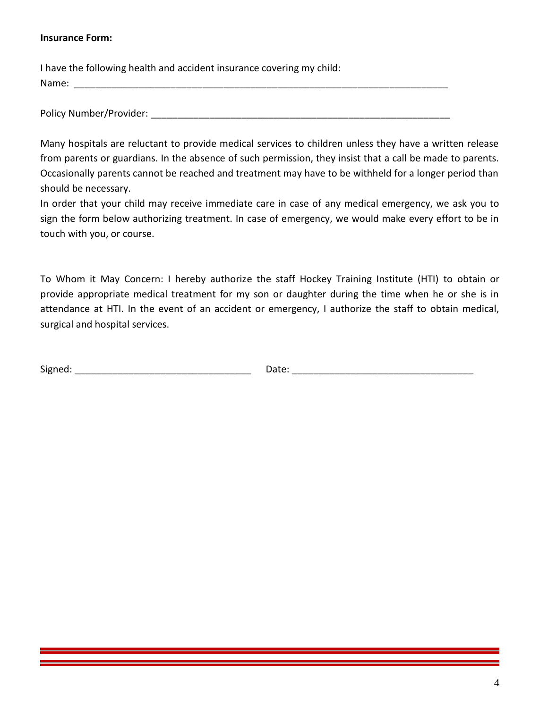#### **Insurance Form:**

I have the following health and accident insurance covering my child: Name:

Policy Number/Provider:

Many hospitals are reluctant to provide medical services to children unless they have a written release from parents or guardians. In the absence of such permission, they insist that a call be made to parents. Occasionally parents cannot be reached and treatment may have to be withheld for a longer period than should be necessary.

In order that your child may receive immediate care in case of any medical emergency, we ask you to sign the form below authorizing treatment. In case of emergency, we would make every effort to be in touch with you, or course.

To Whom it May Concern: I hereby authorize the staff Hockey Training Institute (HTI) to obtain or provide appropriate medical treatment for my son or daughter during the time when he or she is in attendance at HTI. In the event of an accident or emergency, I authorize the staff to obtain medical, surgical and hospital services.

| $\sim$             | .     |
|--------------------|-------|
| Signe <sup>d</sup> | Date: |
|                    |       |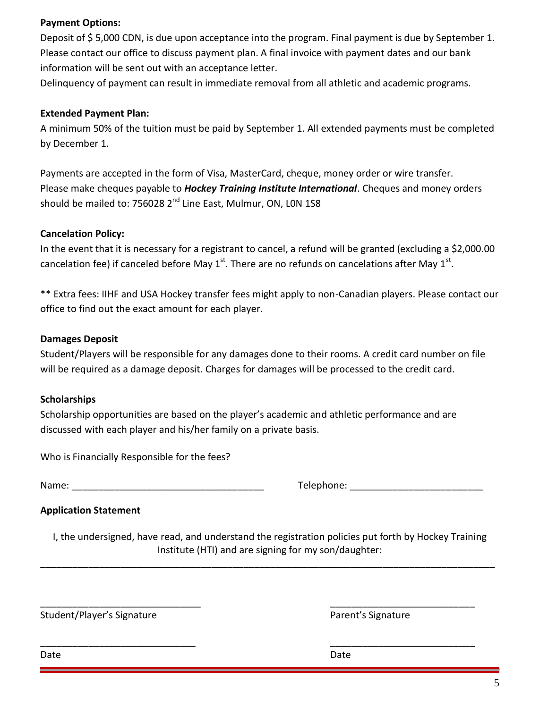#### **Payment Options:**

Deposit of \$ 5,000 CDN, is due upon acceptance into the program. Final payment is due by September 1. Please contact our office to discuss payment plan. A final invoice with payment dates and our bank information will be sent out with an acceptance letter.

Delinquency of payment can result in immediate removal from all athletic and academic programs.

#### **Extended Payment Plan:**

A minimum 50% of the tuition must be paid by September 1. All extended payments must be completed by December 1.

Payments are accepted in the form of Visa, MasterCard, cheque, money order or wire transfer. Please make cheques payable to *Hockey Training Institute International*. Cheques and money orders should be mailed to: 756028 2<sup>nd</sup> Line East, Mulmur, ON, L0N 1S8

#### **Cancelation Policy:**

In the event that it is necessary for a registrant to cancel, a refund will be granted (excluding a \$2,000.00 cancelation fee) if canceled before May 1<sup>st</sup>. There are no refunds on cancelations after May 1<sup>st</sup>.

\*\* Extra fees: IIHF and USA Hockey transfer fees might apply to non-Canadian players. Please contact our office to find out the exact amount for each player.

#### **Damages Deposit**

Student/Players will be responsible for any damages done to their rooms. A credit card number on file will be required as a damage deposit. Charges for damages will be processed to the credit card.

#### **Scholarships**

Scholarship opportunities are based on the player's academic and athletic performance and are discussed with each player and his/her family on a private basis.

Who is Financially Responsible for the fees?

Name: \_\_\_\_\_\_\_\_\_\_\_\_\_\_\_\_\_\_\_\_\_\_\_\_\_\_\_\_\_\_\_\_\_\_\_\_ Telephone: \_\_\_\_\_\_\_\_\_\_\_\_\_\_\_\_\_\_\_\_\_\_\_\_\_

#### **Application Statement**

I, the undersigned, have read, and understand the registration policies put forth by Hockey Training Institute (HTI) and are signing for my son/daughter:

\_\_\_\_\_\_\_\_\_\_\_\_\_\_\_\_\_\_\_\_\_\_\_\_\_\_\_\_\_\_\_\_\_\_\_\_\_\_\_\_\_\_\_\_\_\_\_\_\_\_\_\_\_\_\_\_\_\_\_\_\_\_\_\_\_\_\_\_\_\_\_\_\_\_\_\_\_\_\_\_\_\_\_\_\_

\_\_\_\_\_\_\_\_\_\_\_\_\_\_\_\_\_\_\_\_\_\_\_\_\_\_\_\_\_\_ \_\_\_\_\_\_\_\_\_\_\_\_\_\_\_\_\_\_\_\_\_\_\_\_\_\_\_

\_\_\_\_\_\_\_\_\_\_\_\_\_\_\_\_\_\_\_\_\_\_\_\_\_\_\_\_\_ \_\_\_\_\_\_\_\_\_\_\_\_\_\_\_\_\_\_\_\_\_\_\_\_\_\_\_

Student/Player's Signature **Parent** Signature Parent's Signature

Date **Date Date Date Date Date Date Date Date Date**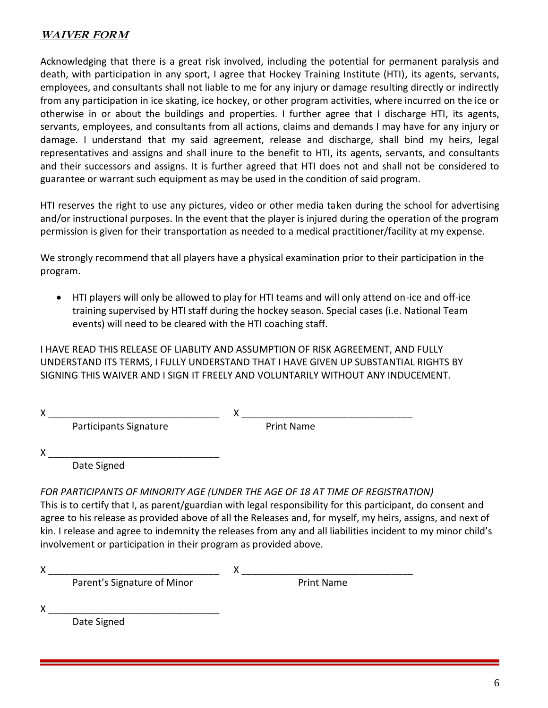### **WAIVER FORM**

Acknowledging that there is a great risk involved, including the potential for permanent paralysis and death, with participation in any sport, I agree that Hockey Training Institute (HTI), its agents, servants, employees, and consultants shall not liable to me for any injury or damage resulting directly or indirectly from any participation in ice skating, ice hockey, or other program activities, where incurred on the ice or otherwise in or about the buildings and properties. I further agree that I discharge HTI, its agents, servants, employees, and consultants from all actions, claims and demands I may have for any injury or damage. I understand that my said agreement, release and discharge, shall bind my heirs, legal representatives and assigns and shall inure to the benefit to HTI, its agents, servants, and consultants and their successors and assigns. It is further agreed that HTI does not and shall not be considered to guarantee or warrant such equipment as may be used in the condition of said program.

HTI reserves the right to use any pictures, video or other media taken during the school for advertising and/or instructional purposes. In the event that the player is injured during the operation of the program permission is given for their transportation as needed to a medical practitioner/facility at my expense.

We strongly recommend that all players have a physical examination prior to their participation in the program.

 HTI players will only be allowed to play for HTI teams and will only attend on-ice and off-ice training supervised by HTI staff during the hockey season. Special cases (i.e. National Team events) will need to be cleared with the HTI coaching staff.

I HAVE READ THIS RELEASE OF LIABLITY AND ASSUMPTION OF RISK AGREEMENT, AND FULLY UNDERSTAND ITS TERMS, I FULLY UNDERSTAND THAT I HAVE GIVEN UP SUBSTANTIAL RIGHTS BY SIGNING THIS WAIVER AND I SIGN IT FREELY AND VOLUNTARILY WITHOUT ANY INDUCEMENT.

| x |                        |                   |  |
|---|------------------------|-------------------|--|
|   | Participants Signature | <b>Print Name</b> |  |
| x |                        |                   |  |

Date Signed

*FOR PARTICIPANTS OF MINORITY AGE (UNDER THE AGE OF 18 AT TIME OF REGISTRATION)*

This is to certify that I, as parent/guardian with legal responsibility for this participant, do consent and agree to his release as provided above of all the Releases and, for myself, my heirs, assigns, and next of kin. I release and agree to indemnity the releases from any and all liabilities incident to my minor child's involvement or participation in their program as provided above.

X \_\_\_\_\_\_\_\_\_\_\_\_\_\_\_\_\_\_\_\_\_\_\_\_\_\_\_\_\_\_\_\_ X \_\_\_\_\_\_\_\_\_\_\_\_\_\_\_\_\_\_\_\_\_\_\_\_\_\_\_\_\_\_\_\_

Parent's Signature of Minor Print Name

 $x \sim$ 

Date Signed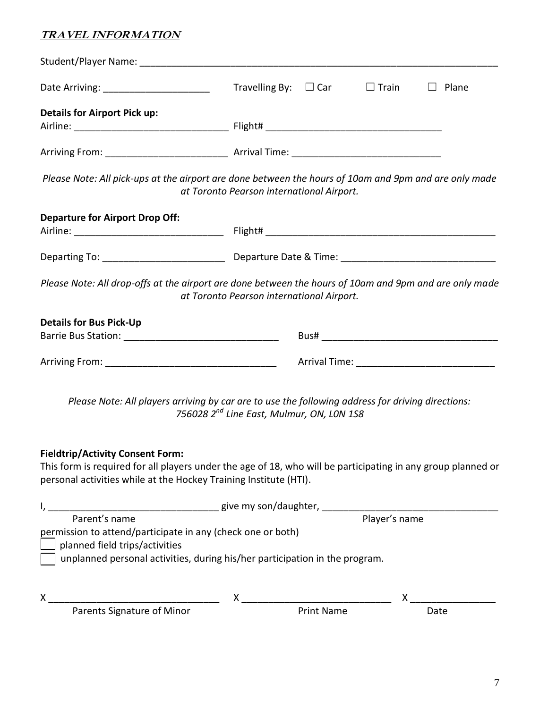## **TRAVEL INFORMATION**

| Date Arriving: _________________________                                                                                                                                                                                      | Travelling By: $\Box$ Car $\Box$ Train $\Box$ Plane   |  |      |  |
|-------------------------------------------------------------------------------------------------------------------------------------------------------------------------------------------------------------------------------|-------------------------------------------------------|--|------|--|
| <b>Details for Airport Pick up:</b>                                                                                                                                                                                           |                                                       |  |      |  |
|                                                                                                                                                                                                                               |                                                       |  |      |  |
| Please Note: All pick-ups at the airport are done between the hours of 10am and 9pm and are only made                                                                                                                         | at Toronto Pearson international Airport.             |  |      |  |
| <b>Departure for Airport Drop Off:</b>                                                                                                                                                                                        |                                                       |  |      |  |
|                                                                                                                                                                                                                               |                                                       |  |      |  |
| Please Note: All drop-offs at the airport are done between the hours of 10am and 9pm and are only made                                                                                                                        | at Toronto Pearson international Airport.             |  |      |  |
| <b>Details for Bus Pick-Up</b>                                                                                                                                                                                                |                                                       |  |      |  |
|                                                                                                                                                                                                                               |                                                       |  |      |  |
| Please Note: All players arriving by car are to use the following address for driving directions:                                                                                                                             | 756028 2 <sup>nd</sup> Line East, Mulmur, ON, LON 1S8 |  |      |  |
| <b>Fieldtrip/Activity Consent Form:</b><br>This form is required for all players under the age of 18, who will be participating in any group planned or<br>personal activities while at the Hockey Training Institute (HTI).  |                                                       |  |      |  |
| I, 1. 2008 and 2014 and 2015 and 2014 and 2015 and 2016 and 2016 and 2016 and 2016 and 2016 and 2016 and 2016 and 2016 and 2016 and 2016 and 2016 and 2016 and 2016 and 2016 and 2016 and 2016 and 2016 and 2016 and 2016 and |                                                       |  |      |  |
| permission to attend/participate in any (check one or both)<br>planned field trips/activities<br>$\Box$ unplanned personal activities, during his/her participation in the program.                                           |                                                       |  |      |  |
| X<br>Parents Signature of Minor<br>Print Name<br>Print Name                                                                                                                                                                   |                                                       |  | Date |  |
|                                                                                                                                                                                                                               |                                                       |  |      |  |